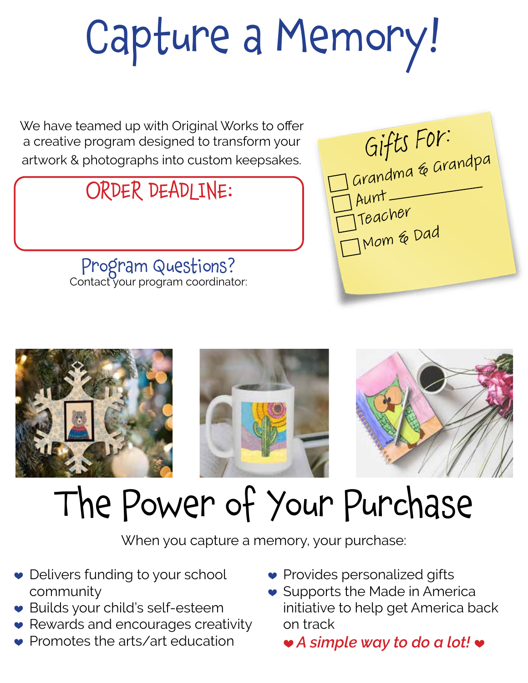# Capture a Memory!

We have teamed up with Original Works to offer a creative program designed to transform your a creative program designed to transform your<br>artwork & photographs into custom keepsakes. **Gifts** FO**M** 

### ORDER DEADLINE:

Program Questions? Contact your program coordinator:









## The Power of Your Purchase

When you capture a memory, your purchase:

- Delivers funding to your school community
- ♥ Builds your child's self-esteem
- ♥ Rewards and encourages creativity
- Promotes the arts/art education
- Provides personalized gifts
- Supports the Made in America initiative to help get America back on track

♥ *A simple way to do a lot!* ♥